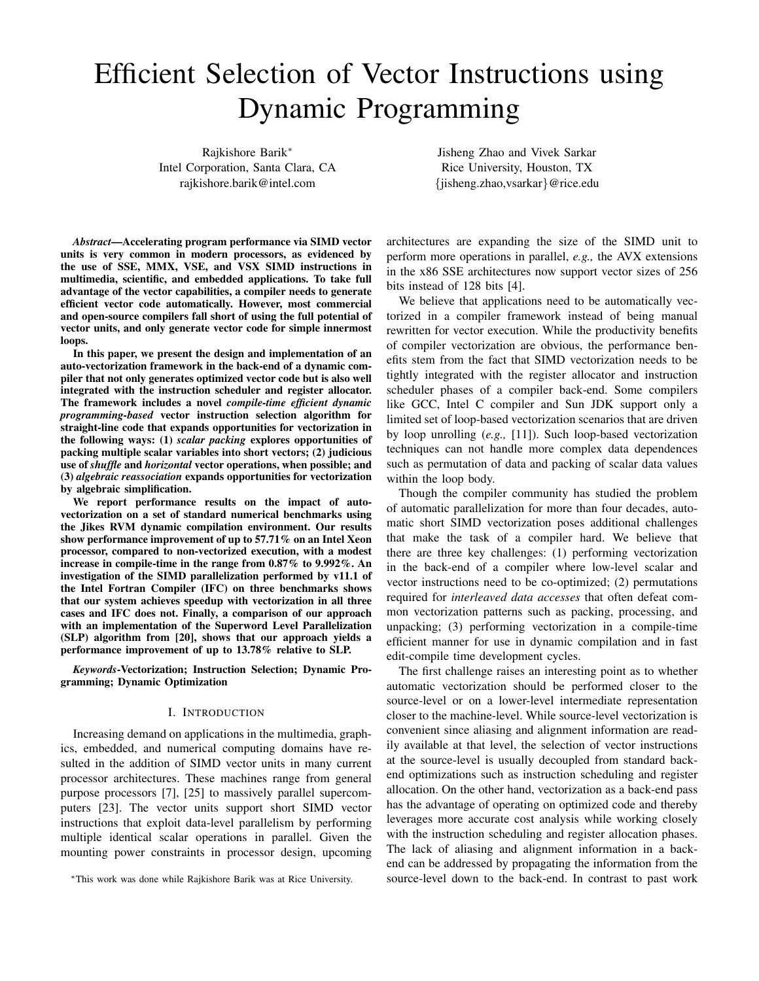# Efficient Selection of Vector Instructions using Dynamic Programming

Rajkishore Barik∗ Intel Corporation, Santa Clara, CA rajkishore.barik@intel.com

Jisheng Zhao and Vivek Sarkar Rice University, Houston, TX {jisheng.zhao,vsarkar}@rice.edu

*Abstract*—Accelerating program performance via SIMD vector units is very common in modern processors, as evidenced by the use of SSE, MMX, VSE, and VSX SIMD instructions in multimedia, scientific, and embedded applications. To take full advantage of the vector capabilities, a compiler needs to generate efficient vector code automatically. However, most commercial and open-source compilers fall short of using the full potential of vector units, and only generate vector code for simple innermost loops.

In this paper, we present the design and implementation of an auto-vectorization framework in the back-end of a dynamic compiler that not only generates optimized vector code but is also well integrated with the instruction scheduler and register allocator. The framework includes a novel *compile-time efficient dynamic programming-based* vector instruction selection algorithm for straight-line code that expands opportunities for vectorization in the following ways: (1) *scalar packing* explores opportunities of packing multiple scalar variables into short vectors; (2) judicious use of *shuffle* and *horizontal* vector operations, when possible; and (3) *algebraic reassociation* expands opportunities for vectorization by algebraic simplification.

We report performance results on the impact of autovectorization on a set of standard numerical benchmarks using the Jikes RVM dynamic compilation environment. Our results show performance improvement of up to 57.71% on an Intel Xeon processor, compared to non-vectorized execution, with a modest increase in compile-time in the range from 0.87% to 9.992%. An investigation of the SIMD parallelization performed by v11.1 of the Intel Fortran Compiler (IFC) on three benchmarks shows that our system achieves speedup with vectorization in all three cases and IFC does not. Finally, a comparison of our approach with an implementation of the Superword Level Parallelization (SLP) algorithm from [20], shows that our approach yields a performance improvement of up to 13.78% relative to SLP.

*Keywords*-Vectorization; Instruction Selection; Dynamic Programming; Dynamic Optimization

#### I. INTRODUCTION

Increasing demand on applications in the multimedia, graphics, embedded, and numerical computing domains have resulted in the addition of SIMD vector units in many current processor architectures. These machines range from general purpose processors [7], [25] to massively parallel supercomputers [23]. The vector units support short SIMD vector instructions that exploit data-level parallelism by performing multiple identical scalar operations in parallel. Given the mounting power constraints in processor design, upcoming architectures are expanding the size of the SIMD unit to perform more operations in parallel, *e.g.,* the AVX extensions in the x86 SSE architectures now support vector sizes of 256 bits instead of 128 bits [4].

We believe that applications need to be automatically vectorized in a compiler framework instead of being manual rewritten for vector execution. While the productivity benefits of compiler vectorization are obvious, the performance benefits stem from the fact that SIMD vectorization needs to be tightly integrated with the register allocator and instruction scheduler phases of a compiler back-end. Some compilers like GCC, Intel C compiler and Sun JDK support only a limited set of loop-based vectorization scenarios that are driven by loop unrolling (*e.g.,* [11]). Such loop-based vectorization techniques can not handle more complex data dependences such as permutation of data and packing of scalar data values within the loop body.

Though the compiler community has studied the problem of automatic parallelization for more than four decades, automatic short SIMD vectorization poses additional challenges that make the task of a compiler hard. We believe that there are three key challenges: (1) performing vectorization in the back-end of a compiler where low-level scalar and vector instructions need to be co-optimized; (2) permutations required for *interleaved data accesses* that often defeat common vectorization patterns such as packing, processing, and unpacking; (3) performing vectorization in a compile-time efficient manner for use in dynamic compilation and in fast edit-compile time development cycles.

The first challenge raises an interesting point as to whether automatic vectorization should be performed closer to the source-level or on a lower-level intermediate representation closer to the machine-level. While source-level vectorization is convenient since aliasing and alignment information are readily available at that level, the selection of vector instructions at the source-level is usually decoupled from standard backend optimizations such as instruction scheduling and register allocation. On the other hand, vectorization as a back-end pass has the advantage of operating on optimized code and thereby leverages more accurate cost analysis while working closely with the instruction scheduling and register allocation phases. The lack of aliasing and alignment information in a backend can be addressed by propagating the information from the source-level down to the back-end. In contrast to past work

<sup>∗</sup>This work was done while Rajkishore Barik was at Rice University.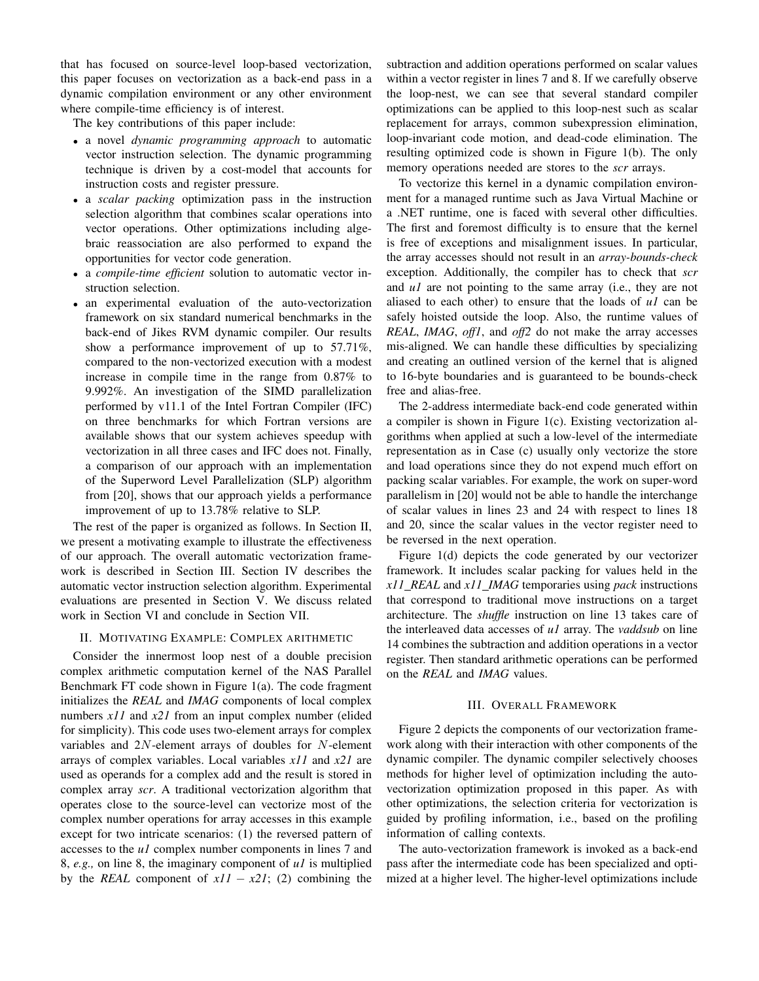that has focused on source-level loop-based vectorization, this paper focuses on vectorization as a back-end pass in a dynamic compilation environment or any other environment where compile-time efficiency is of interest.

The key contributions of this paper include:

- a novel *dynamic programming approach* to automatic vector instruction selection. The dynamic programming technique is driven by a cost-model that accounts for instruction costs and register pressure.
- a *scalar packing* optimization pass in the instruction selection algorithm that combines scalar operations into vector operations. Other optimizations including algebraic reassociation are also performed to expand the opportunities for vector code generation.
- a *compile-time efficient* solution to automatic vector instruction selection.
- an experimental evaluation of the auto-vectorization framework on six standard numerical benchmarks in the back-end of Jikes RVM dynamic compiler. Our results show a performance improvement of up to 57.71%, compared to the non-vectorized execution with a modest increase in compile time in the range from 0.87% to 9.992%. An investigation of the SIMD parallelization performed by v11.1 of the Intel Fortran Compiler (IFC) on three benchmarks for which Fortran versions are available shows that our system achieves speedup with vectorization in all three cases and IFC does not. Finally, a comparison of our approach with an implementation of the Superword Level Parallelization (SLP) algorithm from [20], shows that our approach yields a performance improvement of up to 13.78% relative to SLP.

The rest of the paper is organized as follows. In Section II, we present a motivating example to illustrate the effectiveness of our approach. The overall automatic vectorization framework is described in Section III. Section IV describes the automatic vector instruction selection algorithm. Experimental evaluations are presented in Section V. We discuss related work in Section VI and conclude in Section VII.

## II. MOTIVATING EXAMPLE: COMPLEX ARITHMETIC

Consider the innermost loop nest of a double precision complex arithmetic computation kernel of the NAS Parallel Benchmark FT code shown in Figure 1(a). The code fragment initializes the *REAL* and *IMAG* components of local complex numbers *x11* and *x21* from an input complex number (elided for simplicity). This code uses two-element arrays for complex variables and 2*N*-element arrays of doubles for *N*-element arrays of complex variables. Local variables *x11* and *x21* are used as operands for a complex add and the result is stored in complex array *scr*. A traditional vectorization algorithm that operates close to the source-level can vectorize most of the complex number operations for array accesses in this example except for two intricate scenarios: (1) the reversed pattern of accesses to the *u1* complex number components in lines 7 and 8, *e.g.,* on line 8, the imaginary component of *u1* is multiplied by the *REAL* component of  $x11 - x21$ ; (2) combining the subtraction and addition operations performed on scalar values within a vector register in lines 7 and 8. If we carefully observe the loop-nest, we can see that several standard compiler optimizations can be applied to this loop-nest such as scalar replacement for arrays, common subexpression elimination, loop-invariant code motion, and dead-code elimination. The resulting optimized code is shown in Figure 1(b). The only memory operations needed are stores to the *scr* arrays.

To vectorize this kernel in a dynamic compilation environment for a managed runtime such as Java Virtual Machine or a .NET runtime, one is faced with several other difficulties. The first and foremost difficulty is to ensure that the kernel is free of exceptions and misalignment issues. In particular, the array accesses should not result in an *array-bounds-check* exception. Additionally, the compiler has to check that *scr* and *u1* are not pointing to the same array (i.e., they are not aliased to each other) to ensure that the loads of *u1* can be safely hoisted outside the loop. Also, the runtime values of *REAL*, *IMAG*, *off1*, and *off2* do not make the array accesses mis-aligned. We can handle these difficulties by specializing and creating an outlined version of the kernel that is aligned to 16-byte boundaries and is guaranteed to be bounds-check free and alias-free.

The 2-address intermediate back-end code generated within a compiler is shown in Figure 1(c). Existing vectorization algorithms when applied at such a low-level of the intermediate representation as in Case (c) usually only vectorize the store and load operations since they do not expend much effort on packing scalar variables. For example, the work on super-word parallelism in [20] would not be able to handle the interchange of scalar values in lines 23 and 24 with respect to lines 18 and 20, since the scalar values in the vector register need to be reversed in the next operation.

Figure 1(d) depicts the code generated by our vectorizer framework. It includes scalar packing for values held in the *x11 REAL* and *x11 IMAG* temporaries using *pack* instructions that correspond to traditional move instructions on a target architecture. The *shuffle* instruction on line 13 takes care of the interleaved data accesses of *u1* array. The *vaddsub* on line 14 combines the subtraction and addition operations in a vector register. Then standard arithmetic operations can be performed on the *REAL* and *IMAG* values.

#### III. OVERALL FRAMEWORK

Figure 2 depicts the components of our vectorization framework along with their interaction with other components of the dynamic compiler. The dynamic compiler selectively chooses methods for higher level of optimization including the autovectorization optimization proposed in this paper. As with other optimizations, the selection criteria for vectorization is guided by profiling information, i.e., based on the profiling information of calling contexts.

The auto-vectorization framework is invoked as a back-end pass after the intermediate code has been specialized and optimized at a higher level. The higher-level optimizations include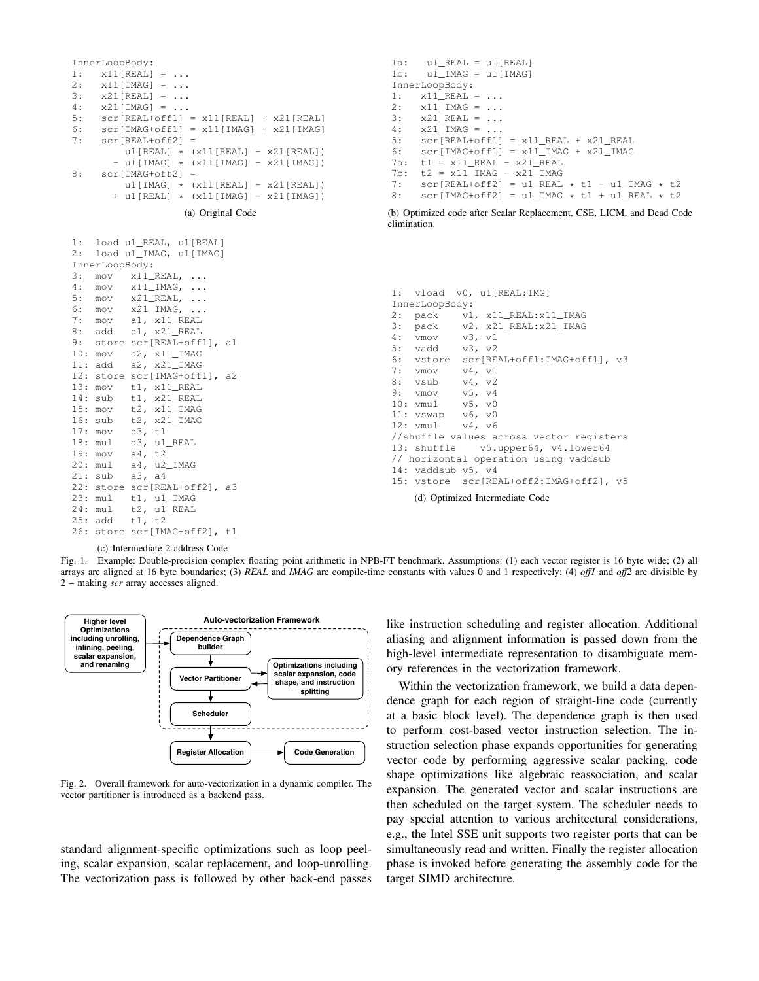```
InnerLoopBody:
1: x11[REAL] = ...
2: x11[IMAG] = ...
3: x21[REAL] = ...
4: x21[IMAG] = ...
5: scr[REAL+off1] = x11[REAL] + x21[REAL]
6: scr[IMAG+off1] = x11[IMAG] + x21[IMAG]
7: scr[REAL+off2] =
        u1[REAL] * (x11[REAL] - x21[REAL])
      - u1[IMAG] * (x11[IMAG] - x21[IMAG])
8: scr[IMAG+off2] =
        u1[IMAG] * (x11[REAL] - x21[REAL])
       + u1[REAL] * (x11[IMAG] - x21[IMAG])
                  (a) Original Code
```

```
1: load u1_REAL, u1[REAL]
2: load u1_IMAG, u1[IMAG]
InnerLoopBody:
3: mov x11_REAL, ...
4: mov x11_IMAG, ...
5: mov x21_REAL, ...
6: mov x21_IMAG, ...
7: mov a1, x11_REAL
8: add a1, x21 REAL
9: store scr[REAL+off1], al<br>10: mov a2, x11_IMAG
         a2, x11_IMAG
11: add a2, x21_IMAG
12: store scr[IMAG+off1], a2
13: mov t1, x11_REAL
14: sub t1, x21_REAL
15: mov t2, x11_IMAG
16: sub t2, x21_IMAG
17: mov a3, t1
18: mul a3, u1_REAL
19: mov a4, t2
20: mul a4, u2_IMAG
21: sub a3, a4
22: store scr[REAL+off2], a3
23: mul t1, u1_IMAG
24: mul t2, u1_REAL
25: add t1, t2
26: store scr[IMAG+off2], t1
```

```
1a: u1_REAL = u1 [REAL]
1b: u1_IMAG = u1[IMAG]
InnerLoopBody:
1: x11_REAL = ...<br>2: x11 IMAG = ...
      x11_IMAG = \ldots3: x21 REAL = ...
4: x21 IMAG = ...
5: scr[REAL+off1] = x11_REAL + x21_REAL
6: scr[IMAG+off1] = x11_IMAG + x21_IMAG
7a: t1 = x11_REAL - x21_REAL
7b: t2 = x11_IMAG - x21_IMAG
7: scr[REAL+off2] = u1_REAL \star t1 - u1_IMAG \star t2<br>8: scr[IMAG+off2] = u1_IMAG \star t1 + u1_REAL \star t2scr[IMAG+off2] = u1_IMAG + t1 + u1_REAL + t2
```
(b) Optimized code after Scalar Replacement, CSE, LICM, and Dead Code elimination.

```
1: vload v0, u1[REAL:IMG]
InnerLoopBody:
2: pack v1, x11_REAL:x11_IMAG
3: pack v2, x21_REAL:x21_IMAG
4: vmov v3, v1
5: vadd v3, v2
6: vstore scr[REAL+off1:IMAG+off1], v3
7: vmov v4, v1
8: vsub v4, v2
9: vmov v5, v4
10: vmul v5, v0
11: vswap v6, v0
12: vmul v4, v6
//shuffle values across vector registers
13: shuffle v5.upper64, v4.lower64
// horizontal operation using vaddsub
14: vaddsub v5, v4
15: vstore scr[REAL+off2:IMAG+off2], v5
    (d) Optimized Intermediate Code
```
(c) Intermediate 2-address Code

Fig. 1. Example: Double-precision complex floating point arithmetic in NPB-FT benchmark. Assumptions: (1) each vector register is 16 byte wide; (2) all arrays are aligned at 16 byte boundaries; (3) *REAL* and *IMAG* are compile-time constants with values 0 and 1 respectively; (4) *off1* and *off2* are divisible by 2 – making *scr* array accesses aligned.



Fig. 2. Overall framework for auto-vectorization in a dynamic compiler. The vector partitioner is introduced as a backend pass.

standard alignment-specific optimizations such as loop peeling, scalar expansion, scalar replacement, and loop-unrolling. The vectorization pass is followed by other back-end passes

like instruction scheduling and register allocation. Additional aliasing and alignment information is passed down from the high-level intermediate representation to disambiguate memory references in the vectorization framework.

Within the vectorization framework, we build a data dependence graph for each region of straight-line code (currently at a basic block level). The dependence graph is then used to perform cost-based vector instruction selection. The instruction selection phase expands opportunities for generating vector code by performing aggressive scalar packing, code shape optimizations like algebraic reassociation, and scalar expansion. The generated vector and scalar instructions are then scheduled on the target system. The scheduler needs to pay special attention to various architectural considerations, e.g., the Intel SSE unit supports two register ports that can be simultaneously read and written. Finally the register allocation phase is invoked before generating the assembly code for the target SIMD architecture.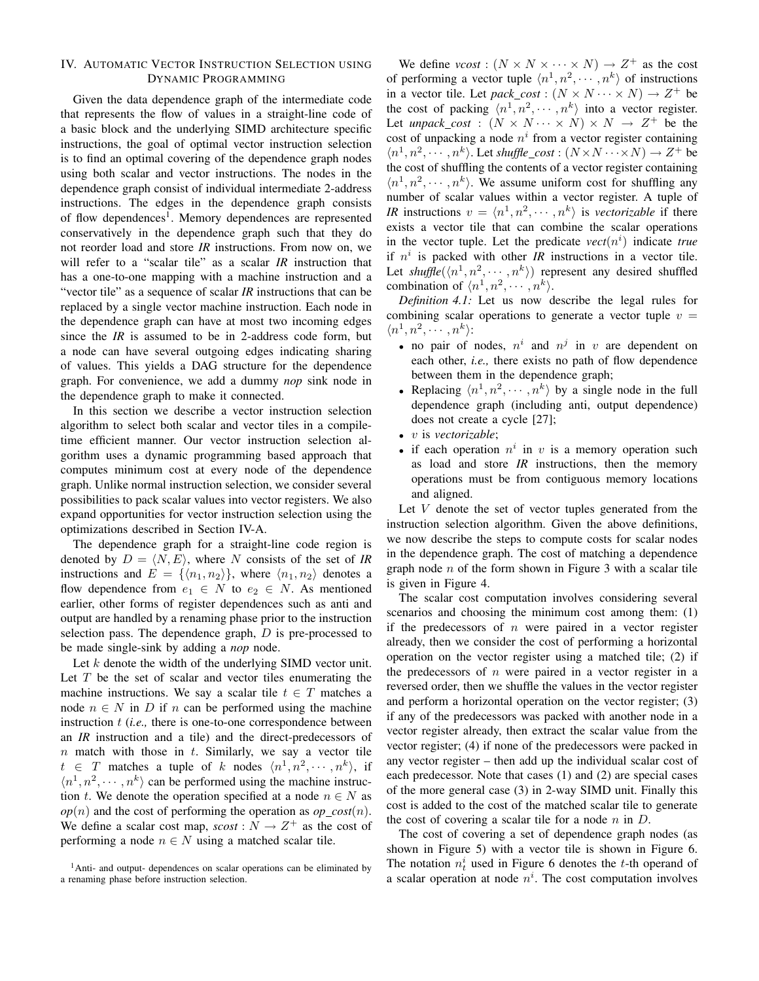# IV. AUTOMATIC VECTOR INSTRUCTION SELECTION USING DYNAMIC PROGRAMMING

Given the data dependence graph of the intermediate code that represents the flow of values in a straight-line code of a basic block and the underlying SIMD architecture specific instructions, the goal of optimal vector instruction selection is to find an optimal covering of the dependence graph nodes using both scalar and vector instructions. The nodes in the dependence graph consist of individual intermediate 2-address instructions. The edges in the dependence graph consists of flow dependences<sup>1</sup>. Memory dependences are represented conservatively in the dependence graph such that they do not reorder load and store *IR* instructions. From now on, we will refer to a "scalar tile" as a scalar *IR* instruction that has a one-to-one mapping with a machine instruction and a "vector tile" as a sequence of scalar *IR* instructions that can be replaced by a single vector machine instruction. Each node in the dependence graph can have at most two incoming edges since the *IR* is assumed to be in 2-address code form, but a node can have several outgoing edges indicating sharing of values. This yields a DAG structure for the dependence graph. For convenience, we add a dummy *nop* sink node in the dependence graph to make it connected.

In this section we describe a vector instruction selection algorithm to select both scalar and vector tiles in a compiletime efficient manner. Our vector instruction selection algorithm uses a dynamic programming based approach that computes minimum cost at every node of the dependence graph. Unlike normal instruction selection, we consider several possibilities to pack scalar values into vector registers. We also expand opportunities for vector instruction selection using the optimizations described in Section IV-A.

The dependence graph for a straight-line code region is denoted by  $D = \langle N, E \rangle$ , where *N* consists of the set of *IR* instructions and  $E = \{ \langle n_1, n_2 \rangle \}$ , where  $\langle n_1, n_2 \rangle$  denotes a flow dependence from  $e_1 \in N$  to  $e_2 \in N$ . As mentioned earlier, other forms of register dependences such as anti and output are handled by a renaming phase prior to the instruction selection pass. The dependence graph, *D* is pre-processed to be made single-sink by adding a *nop* node.

Let *k* denote the width of the underlying SIMD vector unit. Let *T* be the set of scalar and vector tiles enumerating the machine instructions. We say a scalar tile  $t \in T$  matches a node  $n \in N$  in *D* if *n* can be performed using the machine instruction *t* (*i.e.,* there is one-to-one correspondence between an *IR* instruction and a tile) and the direct-predecessors of *n* match with those in *t*. Similarly, we say a vector tile  $t \in T$  matches a tuple of *k* nodes  $\langle n^1, n^2, \dots, n^k \rangle$ , if  $\langle n^1, n^2, \cdots, n^k \rangle$  can be performed using the machine instruction *t*. We denote the operation specified at a node  $n \in N$  as  $op(n)$  and the cost of performing the operation as  $op\_cost(n)$ . We define a scalar cost map,  $\text{scost}: N \to Z^+$  as the cost of performing a node  $n \in N$  using a matched scalar tile.

We define *vcost* :  $(N \times N \times \cdots \times N) \rightarrow Z^+$  as the cost of performing a vector tuple  $\langle n^1, n^2, \cdots, n^k \rangle$  of instructions in a vector tile. Let *pack\_cost* :  $(N \times N \cdots \times N) \rightarrow Z^+$  be the cost of packing  $\langle n^1, n^2, \cdots, n^k \rangle$  into a vector register. Let *unpack\_cost* :  $(N \times N \cdots \times N) \times N \rightarrow Z^+$  be the cost of unpacking a node  $n<sup>i</sup>$  from a vector register containing  $\langle n^1, n^2, \cdots, n^k \rangle$ . Let *shuffle*  $cost : (N \times N \cdots \times N) \rightarrow Z^+$  be the cost of shuffling the contents of a vector register containing  $\langle n^1, n^2, \cdots, n^k \rangle$ . We assume uniform cost for shuffling any number of scalar values within a vector register. A tuple of *IR* instructions  $v = \langle n^1, n^2, \dots, n^k \rangle$  is *vectorizable* if there exists a vector tile that can combine the scalar operations in the vector tuple. Let the predicate  $\text{vec}(n^i)$  indicate *true* if  $n^i$  is packed with other *IR* instructions in a vector tile. Let *shuffle*( $\langle n^1, n^2, \cdots, n^k \rangle$ ) represent any desired shuffled combination of  $\langle n^1, n^2, \cdots, n^k \rangle$ .

*Definition 4.1:* Let us now describe the legal rules for combining scalar operations to generate a vector tuple  $v =$  $\langle n^1, n^2, \cdots, n^k \rangle$ :

- no pair of nodes,  $n^i$  and  $n^j$  in *v* are dependent on each other, *i.e.,* there exists no path of flow dependence between them in the dependence graph;
- Replacing  $\langle n^1, n^2, \cdots, n^k \rangle$  by a single node in the full dependence graph (including anti, output dependence) does not create a cycle [27];
- *v* is *vectorizable*;
- if each operation  $n^i$  in  $v$  is a memory operation such as load and store *IR* instructions, then the memory operations must be from contiguous memory locations and aligned.

Let *V* denote the set of vector tuples generated from the instruction selection algorithm. Given the above definitions, we now describe the steps to compute costs for scalar nodes in the dependence graph. The cost of matching a dependence graph node *n* of the form shown in Figure 3 with a scalar tile is given in Figure 4.

The scalar cost computation involves considering several scenarios and choosing the minimum cost among them: (1) if the predecessors of *n* were paired in a vector register already, then we consider the cost of performing a horizontal operation on the vector register using a matched tile; (2) if the predecessors of *n* were paired in a vector register in a reversed order, then we shuffle the values in the vector register and perform a horizontal operation on the vector register; (3) if any of the predecessors was packed with another node in a vector register already, then extract the scalar value from the vector register; (4) if none of the predecessors were packed in any vector register – then add up the individual scalar cost of each predecessor. Note that cases (1) and (2) are special cases of the more general case (3) in 2-way SIMD unit. Finally this cost is added to the cost of the matched scalar tile to generate the cost of covering a scalar tile for a node *n* in *D*.

The cost of covering a set of dependence graph nodes (as shown in Figure 5) with a vector tile is shown in Figure 6. The notation  $n_t^i$  used in Figure 6 denotes the *t*-th operand of a scalar operation at node  $n<sup>i</sup>$ . The cost computation involves

<sup>&</sup>lt;sup>1</sup>Anti- and output- dependences on scalar operations can be eliminated by a renaming phase before instruction selection.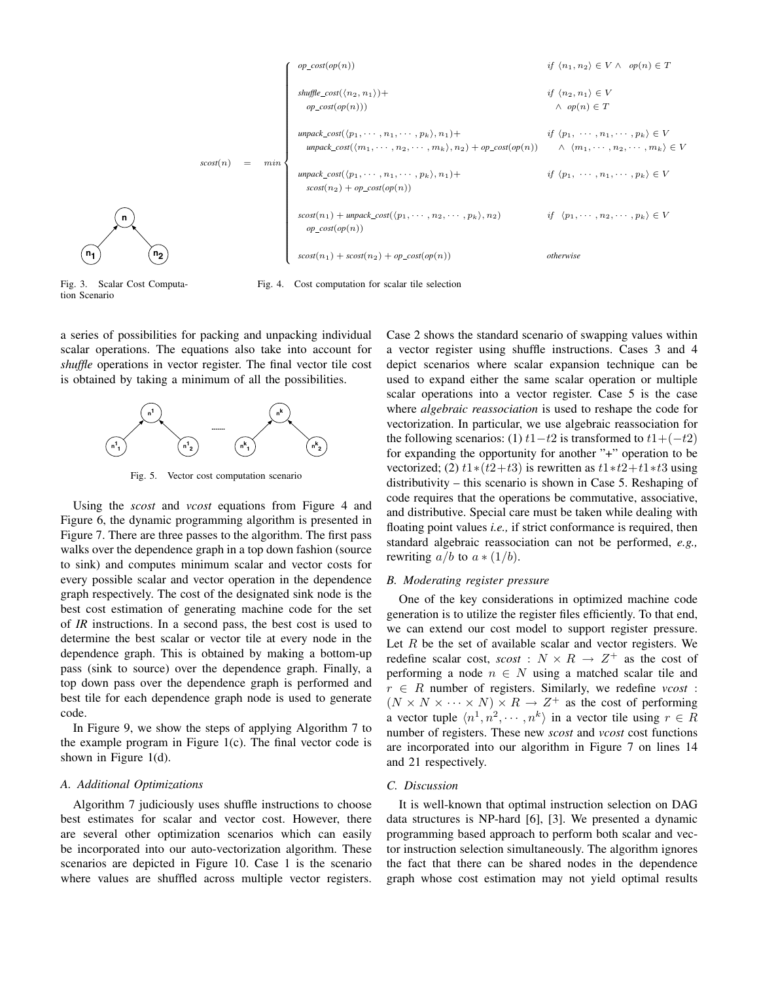$$
\begin{cases}\n\text{op\_cost}(op(n)) & \text{if } \langle n_1, n_2 \rangle \in V \land op(n) \in T \\
\text{shuffle\_cost}(\langle n_2, n_1 \rangle) + \\
\text{op\_cost}(op(n))) & \text{if } \langle n_2, n_1 \rangle \in V \\
\text{op\_cost}(op(n))) & \text{if } \langle n_2, n_1 \rangle \in V \\
\text{mapack\_cost}(\langle p_1, \dots, n_1, \dots, p_k \rangle, n_1) + \\
\text{mapack\_cost}(\langle n_1, \dots, n_2, \dots, m_k \rangle, n_2) + op\_cost(op(n)) & \text{if } \langle n_1, \dots, n_1, \dots, n_k \rangle \in V \\
\text{mapack\_cost}(\langle n_1, \dots, n_1, \dots, p_k \rangle, n_1) + \\
\text{if } \langle p_1, \dots, n_1, \dots, p_k \rangle \in V \\
\text{seost}(n_2) + op\_cost(op(n)) & \\
\text{seost}(n_1) + \text{unpack\_cost}(\langle p_1, \dots, n_2, \dots, p_k \rangle, n_2) & \text{if } \langle p_1, \dots, n_2, \dots, p_k \rangle \in V \\
\text{op\_cost}(op(n)) & \\
\text{seost}(n_1) + \text{seost}(n_2) + op\_cost(op(n)) & \text{otherwise}\n\end{cases}
$$

Fig. 3. Scalar Cost Computation Scenario

**n**

**n**<sub>1</sub>) (**n**<sub>2</sub>

Fig. 4. Cost computation for scalar tile selection

a series of possibilities for packing and unpacking individual scalar operations. The equations also take into account for *shuffle* operations in vector register. The final vector tile cost is obtained by taking a minimum of all the possibilities.

*scost*(*n*) = *min*



Fig. 5. Vector cost computation scenario

Using the *scost* and *vcost* equations from Figure 4 and Figure 6, the dynamic programming algorithm is presented in Figure 7. There are three passes to the algorithm. The first pass walks over the dependence graph in a top down fashion (source to sink) and computes minimum scalar and vector costs for every possible scalar and vector operation in the dependence graph respectively. The cost of the designated sink node is the best cost estimation of generating machine code for the set of *IR* instructions. In a second pass, the best cost is used to determine the best scalar or vector tile at every node in the dependence graph. This is obtained by making a bottom-up pass (sink to source) over the dependence graph. Finally, a top down pass over the dependence graph is performed and best tile for each dependence graph node is used to generate code.

In Figure 9, we show the steps of applying Algorithm 7 to the example program in Figure  $1(c)$ . The final vector code is shown in Figure 1(d).

## *A. Additional Optimizations*

Algorithm 7 judiciously uses shuffle instructions to choose best estimates for scalar and vector cost. However, there are several other optimization scenarios which can easily be incorporated into our auto-vectorization algorithm. These scenarios are depicted in Figure 10. Case 1 is the scenario where values are shuffled across multiple vector registers. Case 2 shows the standard scenario of swapping values within a vector register using shuffle instructions. Cases 3 and 4 depict scenarios where scalar expansion technique can be used to expand either the same scalar operation or multiple scalar operations into a vector register. Case 5 is the case where *algebraic reassociation* is used to reshape the code for vectorization. In particular, we use algebraic reassociation for the following scenarios: (1)  $t1-t2$  is transformed to  $t1+(-t2)$ for expanding the opportunity for another "+" operation to be vectorized; (2)  $t1*(t2+t3)$  is rewritten as  $t1*t2+t1*t3$  using distributivity – this scenario is shown in Case 5. Reshaping of code requires that the operations be commutative, associative, and distributive. Special care must be taken while dealing with floating point values *i.e.,* if strict conformance is required, then standard algebraic reassociation can not be performed, *e.g.,* rewriting  $a/b$  to  $a * (1/b)$ .

#### *B. Moderating register pressure*

One of the key considerations in optimized machine code generation is to utilize the register files efficiently. To that end, we can extend our cost model to support register pressure. Let *R* be the set of available scalar and vector registers. We redefine scalar cost, *scost* :  $N \times R \rightarrow Z^+$  as the cost of performing a node  $n \in N$  using a matched scalar tile and  $r \in R$  number of registers. Similarly, we redefine *vcost* :  $(N \times N \times \cdots \times N) \times R \rightarrow Z^+$  as the cost of performing a vector tuple  $\langle n^1, n^2, \cdots, n^k \rangle$  in a vector tile using  $r \in R$ number of registers. These new *scost* and *vcost* cost functions are incorporated into our algorithm in Figure 7 on lines 14 and 21 respectively.

## *C. Discussion*

It is well-known that optimal instruction selection on DAG data structures is NP-hard [6], [3]. We presented a dynamic programming based approach to perform both scalar and vector instruction selection simultaneously. The algorithm ignores the fact that there can be shared nodes in the dependence graph whose cost estimation may not yield optimal results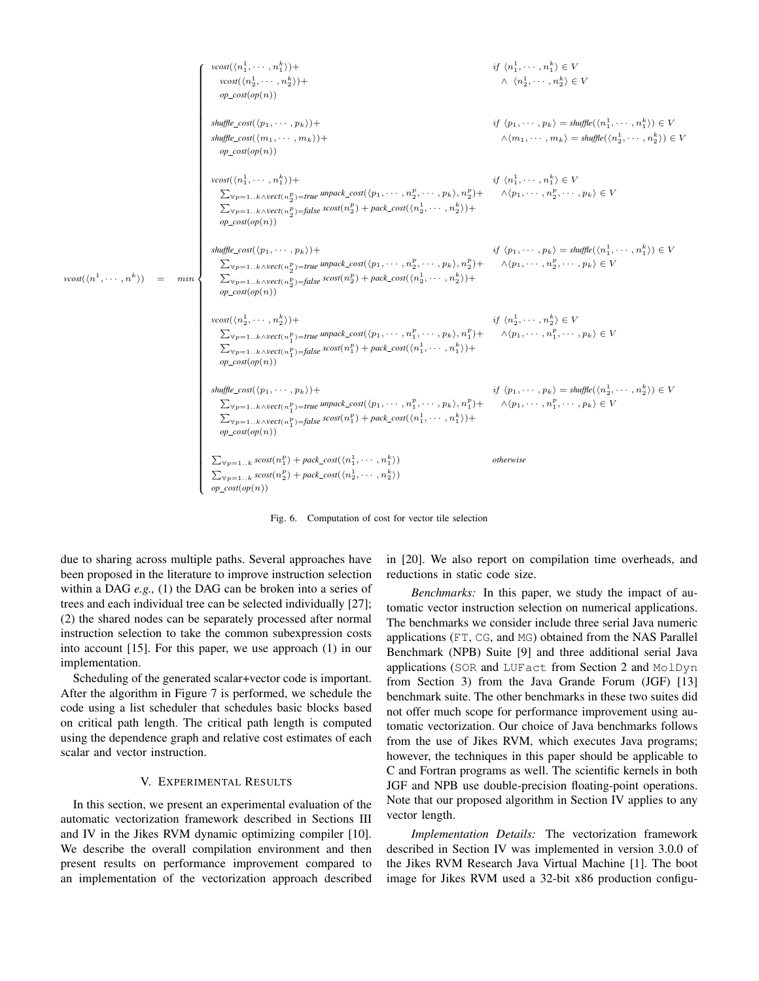$$
\begin{array}{lcl} \mbox{vec}((n_1^1,\cdots,n_1^k)) + & \mbox{if} & \mbox{if} & \mbox{if} & \mbox{if} & \mbox{if} & \mbox{if} & \mbox{if} & \mbox{if} & \mbox{if} & \mbox{if} & \mbox{if} & \mbox{if} & \mbox{if} & \mbox{if} & \mbox{if} & \mbox{if} & \mbox{if} & \mbox{if} & \mbox{if} & \mbox{if} & \mbox{if} & \mbox{if} & \mbox{if} & \mbox{if} & \mbox{if} & \mbox{if} & \mbox{if} & \mbox{if} & \mbox{if} & \mbox{if} & \mbox{if} & \mbox{if} & \mbox{if} & \mbox{if} & \mbox{if} & \mbox{if} & \mbox{if} & \mbox{if} & \mbox{if} & \mbox{if} & \mbox{if} & \mbox{if} & \mbox{if} & \mbox{if} & \mbox{if} & \mbox{if} & \mbox{if} & \mbox{if} & \mbox{if} & \mbox{if} & \mbox{if} & \mbox{if} & \mbox{if} & \mbox{if} & \mbox{if} & \mbox{if} & \mbox{if} & \mbox{if} & \mbox{if} & \mbox{if} & \mbox{if} & \mbox{if} & \mbox{if} & \mbox{if} & \mbox{if} & \mbox{if} & \mbox{if} & \mbox{if} & \mbox{if} & \mbox{if} & \mbox{if} & \mbox{if} & \mbox{if} & \mbox{if} & \mbox{if} & \mbox{if} & \mbox{if} & \mbox{if} & \mbox{if} & \mbox{if} & \mbox{if} & \mbox{if} & \mbox{if} & \mbox{if} & \mbox{if} & \mbox{if} & \mbox{if} & \mbox{if} & \mbox{if} & \mbox{if} & \mbox{if} & \mbox{if} & \mbox{if} & \mbox{if} & \mbox{if} & \mbox{if} & \mbox{if} & \mbox{if} & \mbox{if} & \mbox{if} & \mbox{if} & \mbox{if} & \mbox{if} & \mbox{if} & \
$$

Fig. 6. Computation of cost for vector tile selection

due to sharing across multiple paths. Several approaches have been proposed in the literature to improve instruction selection within a DAG *e.g.,* (1) the DAG can be broken into a series of trees and each individual tree can be selected individually [27]; (2) the shared nodes can be separately processed after normal instruction selection to take the common subexpression costs into account [15]. For this paper, we use approach (1) in our implementation.

Scheduling of the generated scalar+vector code is important. After the algorithm in Figure 7 is performed, we schedule the code using a list scheduler that schedules basic blocks based on critical path length. The critical path length is computed using the dependence graph and relative cost estimates of each scalar and vector instruction.

## V. EXPERIMENTAL RESULTS

In this section, we present an experimental evaluation of the automatic vectorization framework described in Sections III and IV in the Jikes RVM dynamic optimizing compiler [10]. We describe the overall compilation environment and then present results on performance improvement compared to an implementation of the vectorization approach described

in [20]. We also report on compilation time overheads, and reductions in static code size.

*Benchmarks:* In this paper, we study the impact of automatic vector instruction selection on numerical applications. The benchmarks we consider include three serial Java numeric applications (FT, CG, and MG) obtained from the NAS Parallel Benchmark (NPB) Suite [9] and three additional serial Java applications (SOR and LUFact from Section 2 and MolDyn from Section 3) from the Java Grande Forum (JGF) [13] benchmark suite. The other benchmarks in these two suites did not offer much scope for performance improvement using automatic vectorization. Our choice of Java benchmarks follows from the use of Jikes RVM, which executes Java programs; however, the techniques in this paper should be applicable to C and Fortran programs as well. The scientific kernels in both JGF and NPB use double-precision floating-point operations. Note that our proposed algorithm in Section IV applies to any vector length.

*Implementation Details:* The vectorization framework described in Section IV was implemented in version 3.0.0 of the Jikes RVM Research Java Virtual Machine [1]. The boot image for Jikes RVM used a 32-bit x86 production configu-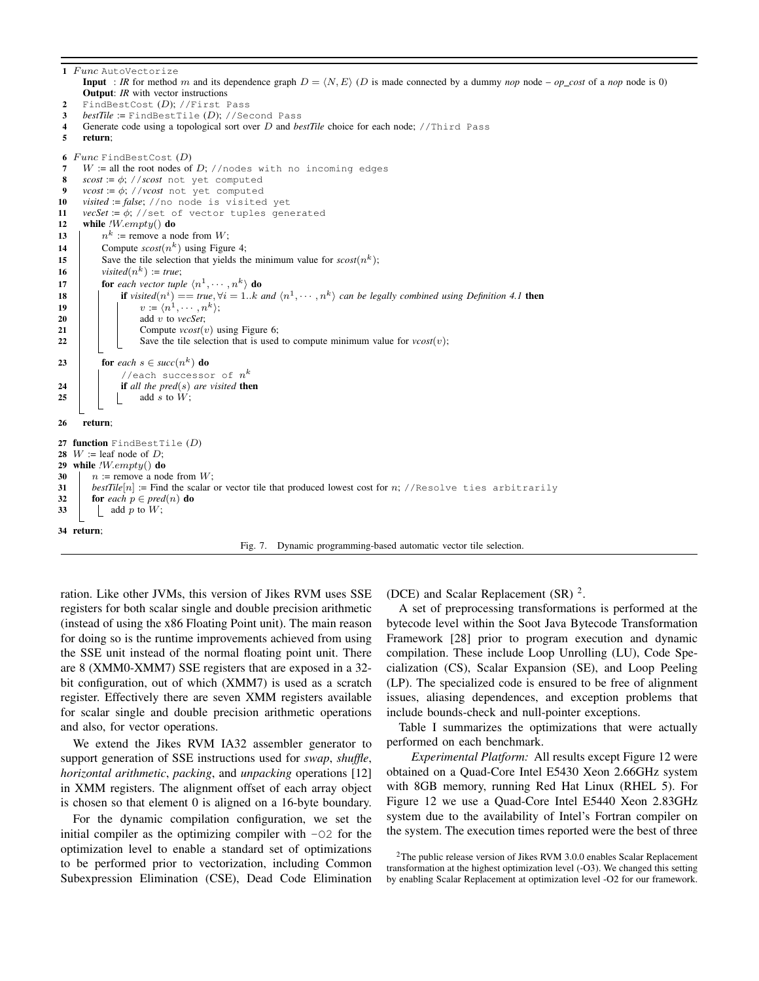1 Func AutoVectorize **Input** : *IR* for method m and its dependence graph  $D = \langle N, E \rangle$  (*D* is made connected by a dummy *nop* node – *op*\_cost of a *nop* node is 0) **Output:** *IR* with vector instructions 2 FindBestCost  $(D)$ ; //First Pass 3 *bestTile* := FindBestTile (D); //Second Pass 4 Generate code using a topological sort over D and *bestTile* choice for each node; //Third Pass 5 return; 6  $Func$  FindBestCost  $(D)$  $7$   $W$  := all the root nodes of  $D$ ; //nodes with no incoming edges 8  $scost := \phi$ ; //*scost* not yet computed 9 *vcost* := φ; //*vcost* not yet computed 10 *visited* := *false*; //no node is visited yet 11  $vecSet := \phi$ ; //set of vector tuples generated 12 while *!*W.empty() do 13  $\mid$   $n^k$  := remove a node from W; 14 | Compute  $\text{scost}(n^k)$  using Figure 4; **Save the tile selection that yields the minimum value for**  $scost(n^k)$ **; 16**  $visted(n^k) := true;$ **for** *each vector tuple*  $\langle n^1, \dots, n^k \rangle$  **do**<br>**18**  $\qquad$  **if** visited $(n^i) =$  *true*.  $\forall i = 1..k$  *c* if *visited*(n*i*) == *true*, <sup>∀</sup><sup>i</sup> = 1..k *and* !n1, ··· , n*<sup>k</sup>* <sup>18</sup> " *can be legally combined using Definition 4.1* then 19  $v := \langle n^1, \cdots, n^k \rangle;$ <br>20  $\downarrow \qquad \qquad \text{add } v \text{ to } \text{vecSet};$ add v to vecSet; 21 | | Compute *vcost*(*v*) using Figure 6;  $22$  | | Save the tile selection that is used to compute minimum value for  $vcost(v)$ ; **23**  $\qquad$  for *each*  $s \in succ(n^k)$  do //each successor of  $n^k$ 24 **if** *all the pred*(s) *are visited* **then** 25 add s to W; 26 return; 27 function FindBestTile  $(D)$ 28  $W$  := leaf node of  $D$ ; 29 while *!W.empty*() do<br>30  $\mid$  *n* := remove a noc  $n$  := remove a node from  $W$ ; 31 *bestTile*[n] := Find the scalar or vector tile that produced lowest cost for n; //Resolve ties arbitrarily 32 for *each*  $p \in pred(n)$  do<br>33 dd *p* to *W*: add  $p$  to  $W$ ; 34 return;



ration. Like other JVMs, this version of Jikes RVM uses SSE registers for both scalar single and double precision arithmetic (instead of using the x86 Floating Point unit). The main reason for doing so is the runtime improvements achieved from using the SSE unit instead of the normal floating point unit. There are 8 (XMM0-XMM7) SSE registers that are exposed in a 32 bit configuration, out of which (XMM7) is used as a scratch register. Effectively there are seven XMM registers available for scalar single and double precision arithmetic operations and also, for vector operations.

We extend the Jikes RVM IA32 assembler generator to support generation of SSE instructions used for *swap*, *shuffle*, *horizontal arithmetic*, *packing*, and *unpacking* operations [12] in XMM registers. The alignment offset of each array object is chosen so that element 0 is aligned on a 16-byte boundary.

For the dynamic compilation configuration, we set the initial compiler as the optimizing compiler with  $-\theta$ 2 for the optimization level to enable a standard set of optimizations to be performed prior to vectorization, including Common Subexpression Elimination (CSE), Dead Code Elimination

(DCE) and Scalar Replacement (SR) 2.

A set of preprocessing transformations is performed at the bytecode level within the Soot Java Bytecode Transformation Framework [28] prior to program execution and dynamic compilation. These include Loop Unrolling (LU), Code Specialization (CS), Scalar Expansion (SE), and Loop Peeling (LP). The specialized code is ensured to be free of alignment issues, aliasing dependences, and exception problems that include bounds-check and null-pointer exceptions.

Table I summarizes the optimizations that were actually performed on each benchmark.

*Experimental Platform:* All results except Figure 12 were obtained on a Quad-Core Intel E5430 Xeon 2.66GHz system with 8GB memory, running Red Hat Linux (RHEL 5). For Figure 12 we use a Quad-Core Intel E5440 Xeon 2.83GHz system due to the availability of Intel's Fortran compiler on the system. The execution times reported were the best of three

<sup>2</sup>The public release version of Jikes RVM 3.0.0 enables Scalar Replacement transformation at the highest optimization level (-O3). We changed this setting by enabling Scalar Replacement at optimization level -O2 for our framework.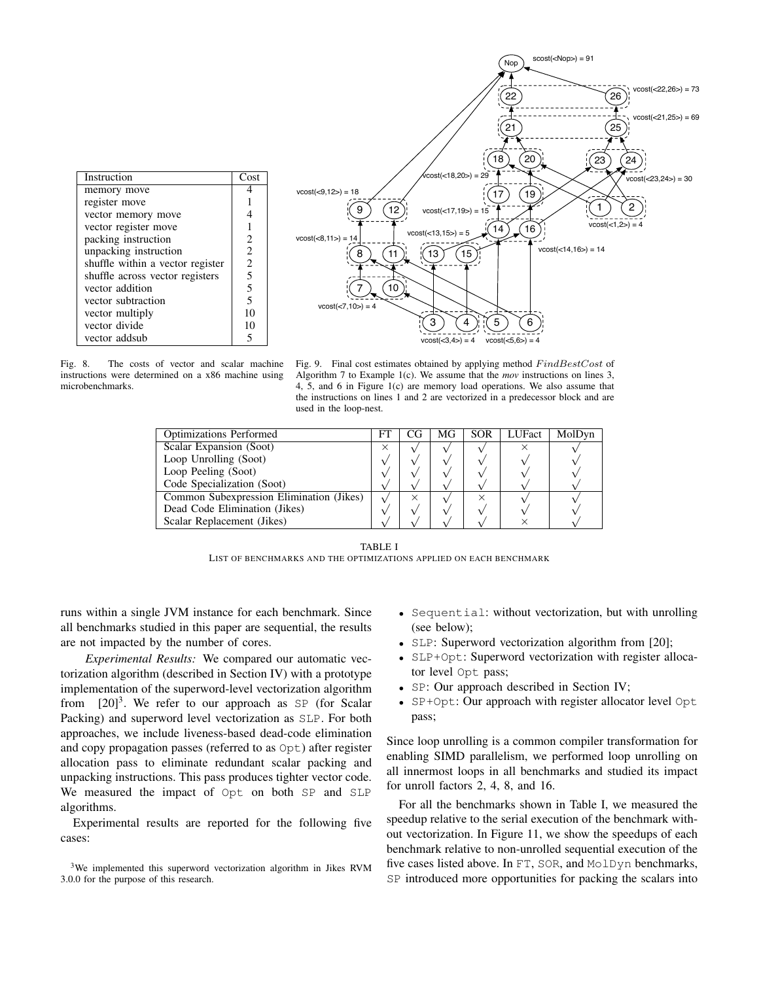| Instruction                      | Cost           |
|----------------------------------|----------------|
| memory move                      |                |
| register move                    |                |
| vector memory move               |                |
| vector register move             |                |
| packing instruction              | 2              |
| unpacking instruction            | $\overline{c}$ |
| shuffle within a vector register | $\overline{c}$ |
| shuffle across vector registers  | 5              |
| vector addition                  | 5              |
| vector subtraction               | 5              |
| vector multiply                  | 10             |
| vector divide                    | 10             |
| vector addsub                    |                |



Fig. 8. The costs of vector and scalar machine instructions were determined on a x86 machine using microbenchmarks.

Fig. 9. Final cost estimates obtained by applying method  $FindBestCost$  of Algorithm 7 to Example 1(c). We assume that the *mov* instructions on lines 3, 4, 5, and 6 in Figure 1(c) are memory load operations. We also assume that the instructions on lines 1 and 2 are vectorized in a predecessor block and are used in the loop-nest.

| <b>Optimizations Performed</b>           | FI |          | MG | <b>SOR</b> | LUFact | MolDyn |
|------------------------------------------|----|----------|----|------------|--------|--------|
| Scalar Expansion (Soot)                  | ×  |          |    |            |        |        |
| Loop Unrolling (Soot)                    |    |          |    |            |        |        |
| Loop Peeling (Soot)                      |    |          |    |            |        |        |
| Code Specialization (Soot)               |    |          |    |            |        |        |
| Common Subexpression Elimination (Jikes) |    | $\times$ |    | $\times$   |        |        |
| Dead Code Elimination (Jikes)            |    |          |    |            |        |        |
| Scalar Replacement (Jikes)               |    |          |    |            |        |        |

TABLE I LIST OF BENCHMARKS AND THE OPTIMIZATIONS APPLIED ON EACH BENCHMARK

runs within a single JVM instance for each benchmark. Since all benchmarks studied in this paper are sequential, the results are not impacted by the number of cores.

*Experimental Results:* We compared our automatic vectorization algorithm (described in Section IV) with a prototype implementation of the superword-level vectorization algorithm from  $[20]^3$ . We refer to our approach as SP (for Scalar Packing) and superword level vectorization as SLP. For both approaches, we include liveness-based dead-code elimination and copy propagation passes (referred to as Opt) after register allocation pass to eliminate redundant scalar packing and unpacking instructions. This pass produces tighter vector code. We measured the impact of Opt on both SP and SLP algorithms.

Experimental results are reported for the following five cases:

- Sequential: without vectorization, but with unrolling (see below);
- SLP: Superword vectorization algorithm from [20];
- SLP+Opt: Superword vectorization with register allocator level Opt pass;
- SP: Our approach described in Section IV;
- SP+Opt: Our approach with register allocator level Opt pass;

Since loop unrolling is a common compiler transformation for enabling SIMD parallelism, we performed loop unrolling on all innermost loops in all benchmarks and studied its impact for unroll factors 2, 4, 8, and 16.

For all the benchmarks shown in Table I, we measured the speedup relative to the serial execution of the benchmark without vectorization. In Figure 11, we show the speedups of each benchmark relative to non-unrolled sequential execution of the five cases listed above. In FT, SOR, and MolDyn benchmarks, SP introduced more opportunities for packing the scalars into

<sup>3</sup>We implemented this superword vectorization algorithm in Jikes RVM 3.0.0 for the purpose of this research.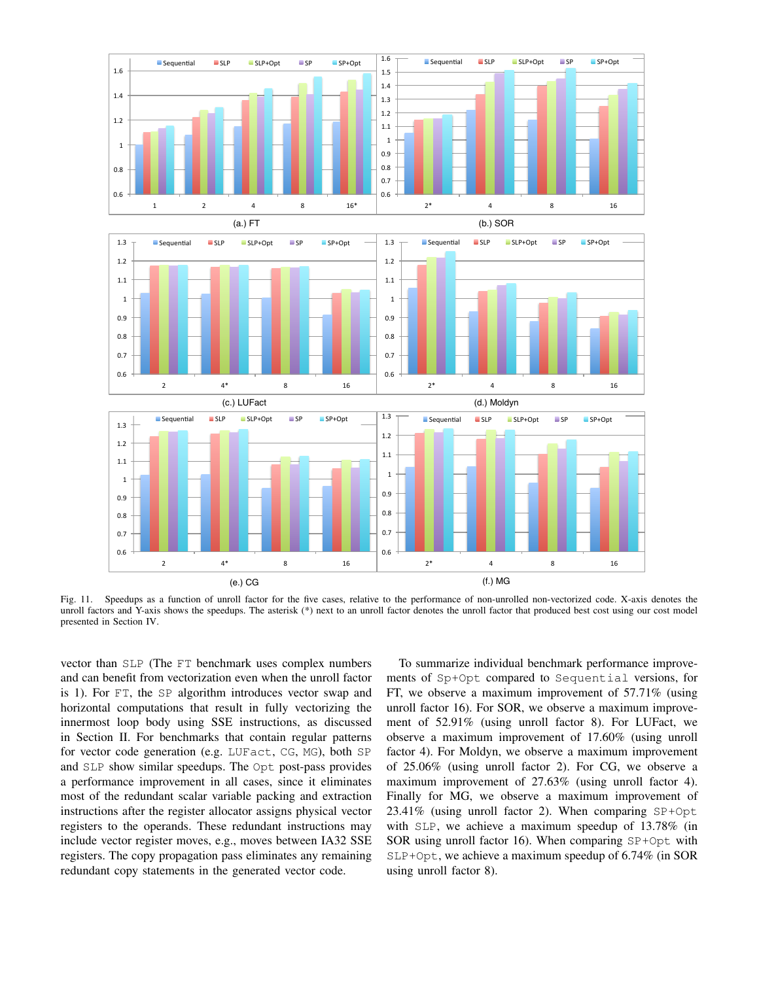





Fig. 11. Speedups as a function of unroll factor for the five cases, relative to the performance of non-unrolled non-vectorized code. X-axis denotes the unroll factors and Y-axis shows the speedups. The asterisk (\*) next to an unroll factor denotes the unroll factor that produced best cost using our cost model presented in Section IV.

vector than SLP (The FT benchmark uses complex numbers and can benefit from vectorization even when the unroll factor is 1). For FT, the SP algorithm introduces vector swap and horizontal computations that result in fully vectorizing the innermost loop body using SSE instructions, as discussed in Section II. For benchmarks that contain regular patterns for vector code generation (e.g. LUFact, CG, MG), both SP and SLP show similar speedups. The Opt post-pass provides a performance improvement in all cases, since it eliminates most of the redundant scalar variable packing and extraction instructions after the register allocator assigns physical vector registers to the operands. These redundant instructions may include vector register moves, e.g., moves between IA32 SSE registers. The copy propagation pass eliminates any remaining redundant copy statements in the generated vector code.

To summarize individual benchmark performance improvements of Sp+Opt compared to Sequential versions, for FT, we observe a maximum improvement of  $57.71\%$  (using unroll factor 16). For SOR, we observe a maximum improvement of 52.91% (using unroll factor 8). For LUFact, we observe a maximum improvement of  $17.60\%$  (using unroll factor 4). For Moldyn, we observe a maximum improvement of 25.06% (using unroll factor 2). For CG, we observe a maximum improvement of 27.63% (using unroll factor 4). Finally for MG, we observe a maximum improvement of 23.41% (using unroll factor 2). When comparing SP+Opt with SLP, we achieve a maximum speedup of 13.78% (in SOR using unroll factor 16). When comparing  $SP+Opt$  with  $SLP+Opt$ , we achieve a maximum speedup of 6.74% (in SOR using unroll factor 8).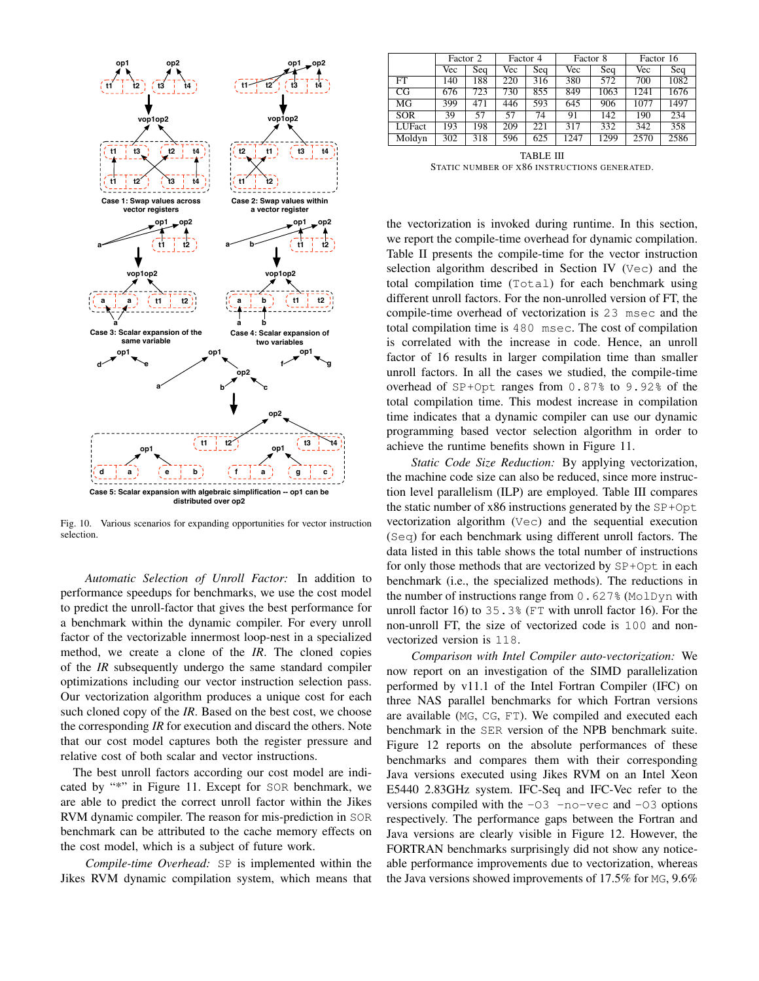

Fig. 10. Various scenarios for expanding opportunities for vector instruction selection.

*Automatic Selection of Unroll Factor:* In addition to performance speedups for benchmarks, we use the cost model to predict the unroll-factor that gives the best performance for a benchmark within the dynamic compiler. For every unroll factor of the vectorizable innermost loop-nest in a specialized method, we create a clone of the *IR*. The cloned copies of the *IR* subsequently undergo the same standard compiler optimizations including our vector instruction selection pass. Our vectorization algorithm produces a unique cost for each such cloned copy of the *IR*. Based on the best cost, we choose the corresponding *IR* for execution and discard the others. Note that our cost model captures both the register pressure and relative cost of both scalar and vector instructions.

The best unroll factors according our cost model are indicated by "\*" in Figure 11. Except for SOR benchmark, we are able to predict the correct unroll factor within the Jikes RVM dynamic compiler. The reason for mis-prediction in SOR benchmark can be attributed to the cache memory effects on the cost model, which is a subject of future work.

*Compile-time Overhead:* SP is implemented within the Jikes RVM dynamic compilation system, which means that

|            | Factor 2 |     | Factor 4 |     | Factor 8 |      | Factor 16 |      |
|------------|----------|-----|----------|-----|----------|------|-----------|------|
|            | Vec      | Seq | Vec      | Seq | Vec      | Seq  | Vec       | Seq  |
| FT         | 140      | 188 | 220      | 316 | 380      | 572  | 700       | 1082 |
| CG         | 676      | 723 | 730      | 855 | 849      | 1063 | 1241      | 1676 |
| МG         | 399      | 471 | 446      | 593 | 645      | 906  | 1077      | 1497 |
| <b>SOR</b> | 39       | 57  | 57       | 74  | 91       | 142  | 190       | 234  |
| LUFact     | 193      | 198 | 209      | 221 | 317      | 332  | 342       | 358  |
| Moldyn     | 302      | 318 | 596      | 625 | 1247     | 1299 | 2570      | 2586 |

TABLE III STATIC NUMBER OF X86 INSTRUCTIONS GENERATED.

the vectorization is invoked during runtime. In this section, we report the compile-time overhead for dynamic compilation. Table II presents the compile-time for the vector instruction selection algorithm described in Section IV (Vec) and the total compilation time (Total) for each benchmark using different unroll factors. For the non-unrolled version of FT, the compile-time overhead of vectorization is 23 msec and the total compilation time is 480 msec. The cost of compilation is correlated with the increase in code. Hence, an unroll factor of 16 results in larger compilation time than smaller unroll factors. In all the cases we studied, the compile-time overhead of SP+Opt ranges from 0.87% to 9.92% of the total compilation time. This modest increase in compilation time indicates that a dynamic compiler can use our dynamic programming based vector selection algorithm in order to achieve the runtime benefits shown in Figure 11.

*Static Code Size Reduction:* By applying vectorization, the machine code size can also be reduced, since more instruction level parallelism (ILP) are employed. Table III compares the static number of x86 instructions generated by the SP+Opt vectorization algorithm (Vec) and the sequential execution (Seq) for each benchmark using different unroll factors. The data listed in this table shows the total number of instructions for only those methods that are vectorized by SP+Opt in each benchmark (i.e., the specialized methods). The reductions in the number of instructions range from 0.627% (MolDyn with unroll factor 16) to 35.3% (FT with unroll factor 16). For the non-unroll FT, the size of vectorized code is 100 and nonvectorized version is 118.

*Comparison with Intel Compiler auto-vectorization:* We now report on an investigation of the SIMD parallelization performed by v11.1 of the Intel Fortran Compiler (IFC) on three NAS parallel benchmarks for which Fortran versions are available (MG, CG, FT). We compiled and executed each benchmark in the SER version of the NPB benchmark suite. Figure 12 reports on the absolute performances of these benchmarks and compares them with their corresponding Java versions executed using Jikes RVM on an Intel Xeon E5440 2.83GHz system. IFC-Seq and IFC-Vec refer to the versions compiled with the  $-03$  -no-vec and  $-03$  options respectively. The performance gaps between the Fortran and Java versions are clearly visible in Figure 12. However, the FORTRAN benchmarks surprisingly did not show any noticeable performance improvements due to vectorization, whereas the Java versions showed improvements of 17.5% for MG, 9.6%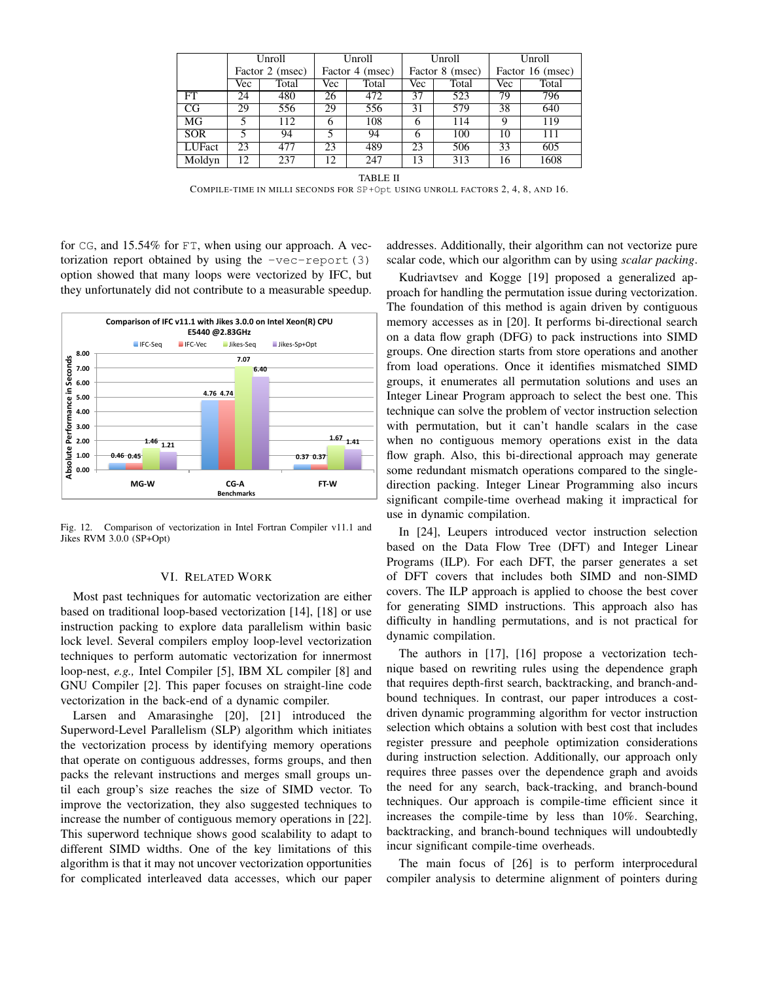|            | Unroll          |       | Unroll          |       | Unroll          |       | Unroll           |       |
|------------|-----------------|-------|-----------------|-------|-----------------|-------|------------------|-------|
|            | Factor 2 (msec) |       | Factor 4 (msec) |       | Factor 8 (msec) |       | Factor 16 (msec) |       |
|            | Vec             | Total | Vec             | Total | Vec             | Total | Vec              | Total |
| FT         | 24              | 480   | 26              | 472   | 37              | 523   | 79               | 796   |
| CG         | 29              | 556   | 29              | 556   | 31              | 579   | 38               | 640   |
| MG         | 5               | 112   | 6               | 108   | 6               | 114   | 9                | 119   |
| <b>SOR</b> | 5               | 94    | 5               | 94    | 6               | 100   | 10               | 111   |
| LUFact     | 23              | 477   | 23              | 489   | 23              | 506   | 33               | 605   |
| Moldyn     | 12              | 237   | 12              | 247   | 13              | 313   | 16               | 1608  |

**TABLE II** 

COMPILE-TIME IN MILLI SECONDS FOR SP+Opt USING UNROLL FACTORS 2, 4, 8, AND 16.

for CG, and 15.54% for FT, when using our approach. A vectorization report obtained by using the  $-vec-report(3)$ option showed that many loops were vectorized by IFC, but they unfortunately did not contribute to a measurable speedup.



Fig. 12. Comparison of vectorization in Intel Fortran Compiler v11.1 and Jikes RVM 3.0.0 (SP+Opt)

## **VI. RELATED WORK**

Most past techniques for automatic vectorization are either based on traditional loop-based vectorization [14], [18] or use instruction packing to explore data parallelism within basic lock level. Several compilers employ loop-level vectorization techniques to perform automatic vectorization for innermost loop-nest, e.g., Intel Compiler [5], IBM XL compiler [8] and GNU Compiler [2]. This paper focuses on straight-line code vectorization in the back-end of a dynamic compiler.

Larsen and Amarasinghe [20], [21] introduced the Superword-Level Parallelism (SLP) algorithm which initiates the vectorization process by identifying memory operations that operate on contiguous addresses, forms groups, and then packs the relevant instructions and merges small groups until each group's size reaches the size of SIMD vector. To improve the vectorization, they also suggested techniques to increase the number of contiguous memory operations in [22]. This superword technique shows good scalability to adapt to different SIMD widths. One of the key limitations of this algorithm is that it may not uncover vectorization opportunities for complicated interleaved data accesses, which our paper

addresses. Additionally, their algorithm can not vectorize pure scalar code, which our algorithm can by using scalar packing.

Kudriavtsev and Kogge [19] proposed a generalized approach for handling the permutation issue during vectorization. The foundation of this method is again driven by contiguous memory accesses as in [20]. It performs bi-directional search on a data flow graph (DFG) to pack instructions into SIMD groups. One direction starts from store operations and another from load operations. Once it identifies mismatched SIMD groups, it enumerates all permutation solutions and uses an Integer Linear Program approach to select the best one. This technique can solve the problem of vector instruction selection with permutation, but it can't handle scalars in the case when no contiguous memory operations exist in the data flow graph. Also, this bi-directional approach may generate some redundant mismatch operations compared to the singledirection packing. Integer Linear Programming also incurs significant compile-time overhead making it impractical for use in dynamic compilation.

In [24], Leupers introduced vector instruction selection based on the Data Flow Tree (DFT) and Integer Linear Programs (ILP). For each DFT, the parser generates a set of DFT covers that includes both SIMD and non-SIMD covers. The ILP approach is applied to choose the best cover for generating SIMD instructions. This approach also has difficulty in handling permutations, and is not practical for dynamic compilation.

The authors in [17], [16] propose a vectorization technique based on rewriting rules using the dependence graph that requires depth-first search, backtracking, and branch-andbound techniques. In contrast, our paper introduces a costdriven dynamic programming algorithm for vector instruction selection which obtains a solution with best cost that includes register pressure and peephole optimization considerations during instruction selection. Additionally, our approach only requires three passes over the dependence graph and avoids the need for any search, back-tracking, and branch-bound techniques. Our approach is compile-time efficient since it increases the compile-time by less than 10%. Searching, backtracking, and branch-bound techniques will undoubtedly incur significant compile-time overheads.

The main focus of [26] is to perform interprocedural compiler analysis to determine alignment of pointers during